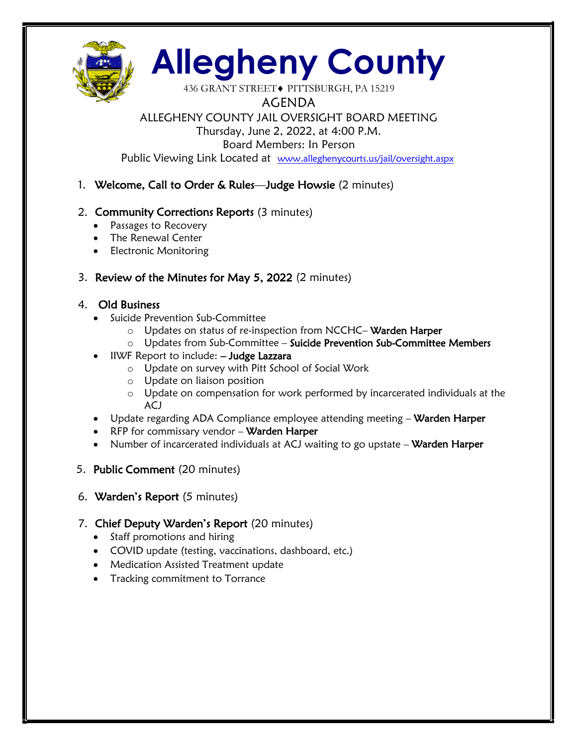

# **Allegheny County**

436 GRANT STREET◆ PITTSBURGH, PA 15219

AGENDA

## ALLEGHENY COUNTY JAIL OVERSIGHT BOARD MEETING

Thursday, June 2, 2022, at 4:00 P.M.

Board Members: In Person

Public Viewing Link Located at www.alleghenycourts.us/jail/oversight.aspx

## 1. Welcome, Call to Order & Rules—Judge Howsie (2 minutes)

## 2. Community Corrections Reports (3 minutes)

- Passages to Recovery
- The Renewal Center
- Electronic Monitoring

## 3. Review of the Minutes for May 5, 2022 (2 minutes)

## 4. Old Business

- Suicide Prevention Sub-Committee
	- o Updates on status of re-inspection from NCCHC– Warden Harper
	- $\circ$  Updates from Sub-Committee Suicide Prevention Sub-Committee Members
- IIWF Report to include: Judge Lazzara
	- o Update on survey with Pitt School of Social Work
	- o Update on liaison position
	- o Update on compensation for work performed by incarcerated individuals at the ACJ
- Update regarding ADA Compliance employee attending meeting Warden Harper
- RFP for commissary vendor Warden Harper
- Number of incarcerated individuals at ACJ waiting to go upstate Warden Harper
- 5. Public Comment (20 minutes)
- 6. Warden's Report (5 minutes)

## 7. Chief Deputy Warden's Report (20 minutes)

- Staff promotions and hiring
- COVID update (testing, vaccinations, dashboard, etc.)
- Medication Assisted Treatment update
- Tracking commitment to Torrance